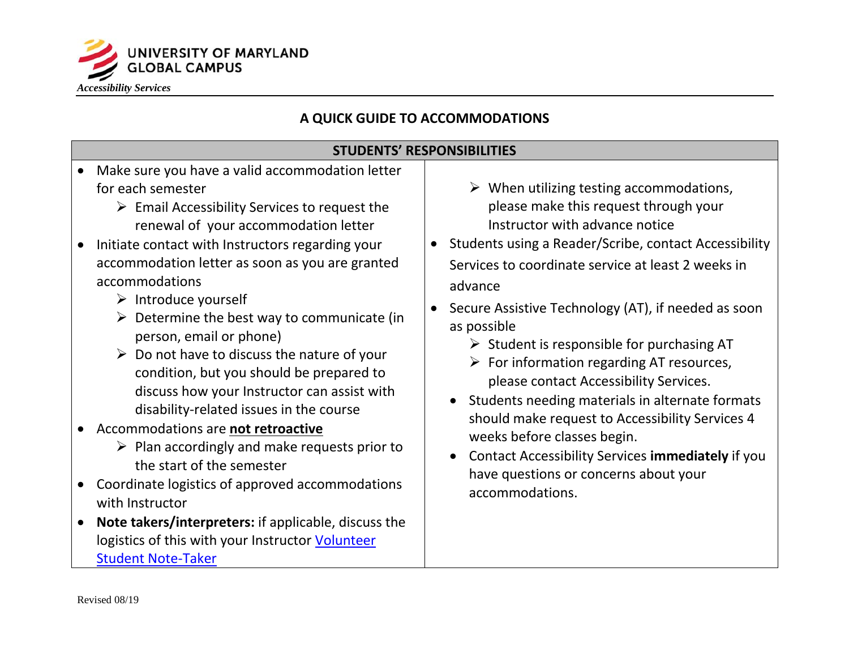

## **A QUICK GUIDE TO ACCOMMODATIONS**

## **STUDENTS' RESPONSIBILITIES**

- Make sure you have a valid accommodation letter for each semester  $\downarrow$   $\downarrow$  When utilizing testing accommodations,
	- renewal of your accommodation letter  $\triangleright$  Email Accessibility Services to request the
- accommodation letter as soon as you are granted • Initiate contact with Instructors regarding your accommodations<br>
advance<br>
advance<br>
advance<br>
advance<br>
advance<br>
advance
	-
	-
	- <table>\n<tbody>\n<tr>\n<td>▶ Introduce yourself</td>\n<td>▶ Determine the best way to communicate (in person, email or phone)</td>\n<td>▶ Section 1. If needed as soon as possible</td>\n</tr>\n<tr>\n<td>▶ Do not have to discuss the nature of your condition, but you should be prepared to discuss how your instructor can assist with<br/>disability-related issues in the course</td>\n<td>▶ For information regarding AT resources, please contact Accessibility Services.</td>\n</tr>\n<tr>\n<td>▶ Setudent is responsible for purchasing AT<br/>For information regarding AT resources, please contact Accessibility Services.</td>\n</tr>\n<tr>\n<td>▶ Setuent is responsible for purchasing AT<br/>For information regarding AT resources, please contact Accessibility Services.</td>\n</tr>\n<tr>\n<td>▶ Setuent is responsible for purchasing AT<br/>For information regarding the previous equations, we can
- -
- Coordinate logistics of approved accommodations accommodations.<br>with Instructor
- • **Note takers/interpreters:** if applicable, discuss the logistics of this with your Instructor Volunteer [Student Note-Taker](https://engage.umuc.edu/docs/DOC-46875)
- please make this request through your Instructor with advance notice
- Students using a Reader/Scribe, contact Accessibility Services to coordinate service at least 2 weeks in
- Secure Assistive Technology (AT), if needed as soon
	-
	-
- Accommodations are **not retroactive**<br>
 Accommodations are **not retroactive**<br>
 Plan accordingly and make requests prior to<br>
the start of the semester<br>
<sup>1</sup> ave questions or concerns about your<br>
<sup>1</sup> averages to Accessibil
	-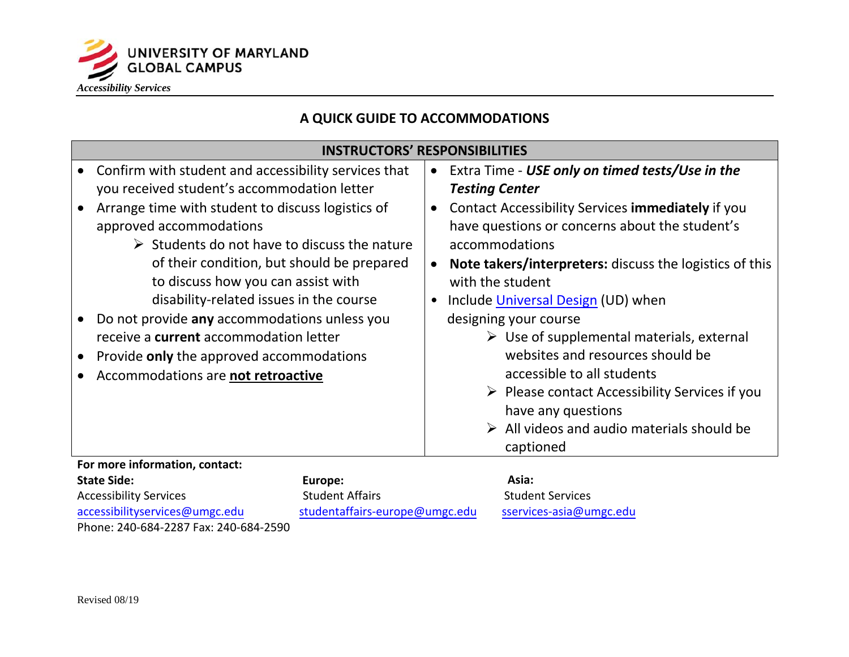

## **A QUICK GUIDE TO ACCOMMODATIONS**

## **INSTRUCTORS' RESPONSIBILITIES**

|                                                                 | Confirm with student and accessibility services that<br>you received student's accommodation letter<br>Arrange time with student to discuss logistics of<br>approved accommodations<br>$\triangleright$ Students do not have to discuss the nature<br>of their condition, but should be prepared<br>to discuss how you can assist with<br>disability-related issues in the course<br>Do not provide any accommodations unless you<br>receive a current accommodation letter<br>Provide only the approved accommodations<br>Accommodations are not retroactive |                        | <b>Testing Center</b><br>$\bullet$<br>$\bullet$<br>with the student<br>$\bullet$ | • Extra Time - USE only on timed tests/Use in the<br>Contact Accessibility Services immediately if you<br>have questions or concerns about the student's<br>accommodations<br><b>Note takers/interpreters:</b> discuss the logistics of this<br>Include Universal Design (UD) when<br>designing your course<br>$\triangleright$ Use of supplemental materials, external<br>websites and resources should be<br>accessible to all students<br>$\triangleright$ Please contact Accessibility Services if you<br>have any questions<br>$\triangleright$ All videos and audio materials should be<br>captioned |
|-----------------------------------------------------------------|---------------------------------------------------------------------------------------------------------------------------------------------------------------------------------------------------------------------------------------------------------------------------------------------------------------------------------------------------------------------------------------------------------------------------------------------------------------------------------------------------------------------------------------------------------------|------------------------|----------------------------------------------------------------------------------|------------------------------------------------------------------------------------------------------------------------------------------------------------------------------------------------------------------------------------------------------------------------------------------------------------------------------------------------------------------------------------------------------------------------------------------------------------------------------------------------------------------------------------------------------------------------------------------------------------|
| For more information, contact:<br><b>State Side:</b><br>Europe: |                                                                                                                                                                                                                                                                                                                                                                                                                                                                                                                                                               | <b>Student Affairs</b> |                                                                                  | Asia:                                                                                                                                                                                                                                                                                                                                                                                                                                                                                                                                                                                                      |
| <b>Accessibility Services</b>                                   |                                                                                                                                                                                                                                                                                                                                                                                                                                                                                                                                                               |                        |                                                                                  | <b>Student Services</b>                                                                                                                                                                                                                                                                                                                                                                                                                                                                                                                                                                                    |

accessibilityservices@umgc.edu [studentaffairs-europe@um](mailto:studentaffairs-europe@umgc.edu)gc.edu [sservices-asia@um](mailto:sservices-asia@umgc.edu)gc.edu Phone: 240-684-2287 Fax: 240-684-2590